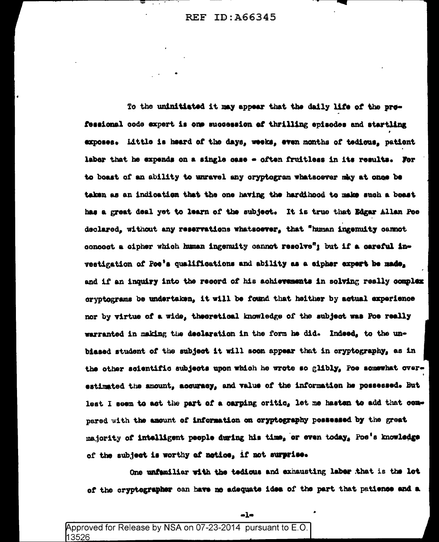To the uninitiated it may appear that the daily life of the prefessional code expert is one succession of thrilling episodes and startling exposes. Little is heard of the days, weeks, even months of tedious, patient labor that he expends on a single case - often fruitless in its results. For to boast of an ability to unravel any oryptogram whatsoever may at once be taken as an indication that the one having the hardihood to make such a boast has a great deal yet to learn of the subject. It is true that Edgar Allan Poe declared, without any reservations whatsoever, that "human ingemulty campot concoct a cipher which human ingenuity cannot resolve"; but if a careful investigation of Poe's qualifications and ability as a cipher expert be made. and if an inquiry into the record of his achievements in solving really complex cryptograms be undertaken, it will be found that heither by actual experience nor by virtue of a wide, theoretical knowledge of the subject was Poe really warranted in making the declaration in the form he did. Indeed, to the unbiased student of the subject it will soon appear that in cryptography, as in the other scientific subjects upon which he wrote so glibly, Poe somewhat overestimated the amount, acquracy, and value of the information he possessed. But lest I seem to act the part of a carping critic, let me hasten to add that compared with the amount of information on cryptography possessed by the great majority of intelligent people during his time, or even today, Poe's knowledge of the subject is worthy of notice, if not surprise.

One unfamiliar with the tedious and exhausting labor that is the lot of the cryptographer can have no adequate idea of the part that patience and a

 $-l<sub>2</sub>$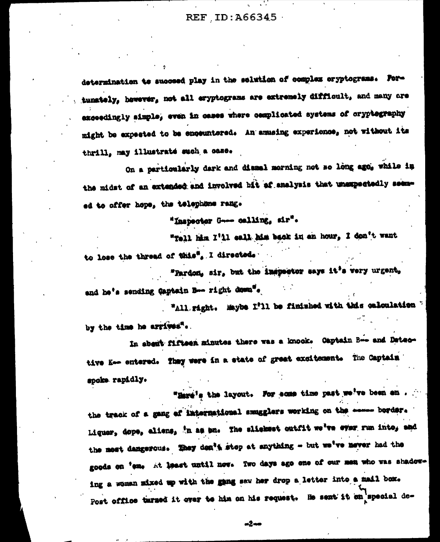determination to succeed play in the solution of complex oryptograms. Portunately, however, not all eryptograms are extremely difficult, and many are exceedingly simple, even in ceses where complicated systems of cryptography might be expected to be encountered. An amusing experience, not without its thrill, may illustrate such a case.

On a particularly dark and dismal morning not so long ago, while in the midst of an extended and involved bit af analysis that unexpectedly seemed to offer hope, the telephene rang.

"Inspector Gene calling, sir".

"Tell him I'll call him back in an hour, I don't want to lose the thread of this". I directed.

"Pardon, sir, but the inspector says it's very urgent, and he's sending Captain Boo right down".

"All. right. Maybe I'll be finished with this calculation by the time he arrives".

In about fifteen minutes there was a knock. Captain B-- and Detective K-- entered. They were in a state of great excitement. The Captain spoke rapidly.

"Hard's the layout. For some time past we've been en the track of a gang of international smugglers working on the exame border. Liquer, dope, aliens, 'n as bn. The sliekest outfit we've ever run into, and the most dangerous. They den't stop at anything - but we've never had the goods on 'eme at teast until now. Two days ago one of our men who was shadowing a woman mixed up with the gang saw her drop a letter into a mail box. Post office targed it over to him on his request. He sent it on special de-

-2--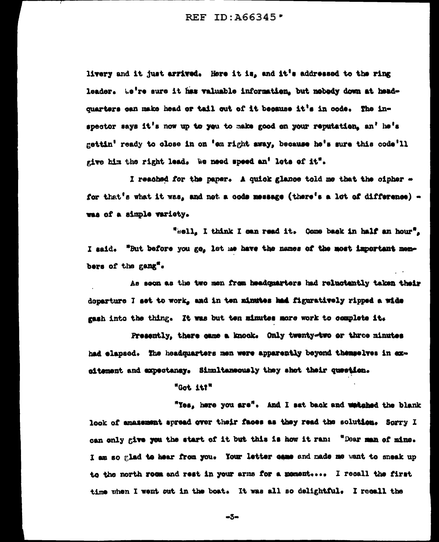livery and it just arrived. Here it is, and it's addressed to the ring leader. We're sure it has valuable information, but nobedy down at headquarters can make head or tail out of it because it's in oode. The inspector says it's now up to you to make good on your reputation, an' he's gettin' ready to close in on 'em right away, because he's sure this code'll give him the right lead. We need speed an' lots of it".

I reached for the paper. A quick glance told me that the cipher for that's what it was, and not a code message (there's a lot of difference) was of a simple variety.

"sell, I think I can read it. Come back in half an hour". I said. "But before you go, let me have the names of the most important members of the gang".

As soon as the two men from headquarters had reluctantly taken their departure I set to work, and in ten minutes had figuratively ripped a wide gash into the thing. It was but ten minutes more work to complete it.

Presently, there came a knock. Only twenty-two or three minutes had elapsed. The headquarters men were apparently beyond themselves in exaitement and expectancy. Simultaneously they shot their question.

## "Got it?"

"Yes, here you are". And I sat back and whiched the blank look of amazement apread over their faces as they read the solution. Sorry I can only give you the start of it but this is how it ran: "Dear man of mine. I am so glad to hear from you. Your letter came and made me want to sneak up to the north room and rest in your arms for a moment .... I recall the first time when I went out in the boat. It was all so delightful. I recall the

 $-5-$